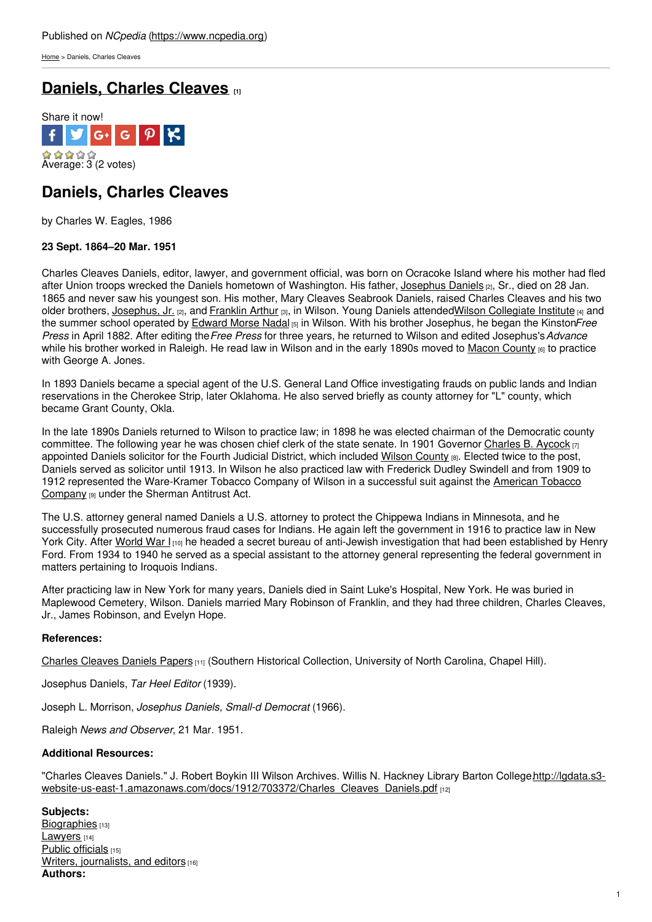[Home](https://www.ncpedia.org/) > Daniels, Charles Cleaves

# **[Daniels,](https://www.ncpedia.org/biography/daniels-charles-cleaves) Charles Cleaves** *m*



## **Daniels, Charles Cleaves**

by Charles W. Eagles, 1986

### **23 Sept. 1864–20 Mar. 1951**

Charles Cleaves Daniels, editor, lawyer, and government official, was born on Ocracoke Island where his mother had fled after Union troops wrecked the Daniels [hometown](http://www.social9.com) of Washington. His father, [Josephus](https://www.ncpedia.org/biography/daniels-josephus-dncb) Daniels [2], Sr., died on 28 Jan. 1865 and never saw his youngest son. His mother, Mary Cleaves Seabrook Daniels, raised Charles Cleaves and his two older brothers, [Josephus,](https://www.ncpedia.org/biography/daniels-josephus-dncb) Jr. [2], and [Franklin](https://www.ncpedia.org/biography/daniels-frank-arthur) Arthur [3], in Wilson. Young Daniels attendedWilson [Collegiate](https://www.ncpedia.org/wilson-collegiate-institute) Institute [4] and the summer school operated by [Edward](https://www.ncpedia.org/biography/nadal-edward-morse) Morse Nadal [5] in Wilson. With his brother Josephus, he began the Kinston*Free Press* in April 1882. After editing the*Free Press* for three years, he returned to Wilson and edited Josephus's*Advance* while his brother worked in Raleigh. He read law in Wilson and in the early 1890s moved to Macon [County](https://www.ncpedia.org/geography/macon)  $_{[6]}$  to practice with George A. Jones.

In 1893 Daniels became a special agent of the U.S. General Land Office investigating frauds on public lands and Indian reservations in the Cherokee Strip, later Oklahoma. He also served briefly as county attorney for "L" county, which became Grant County, Okla.

In the late 1890s Daniels returned to Wilson to practice law; in 1898 he was elected chairman of the Democratic county committee. The following year he was chosen chief clerk of the state senate. In 1901 Governor [Charles](https://www.ncpedia.org/biography/aycock-charles-brantley) B. Aycock [7] appointed Daniels solicitor for the Fourth Judicial District, which included Wilson [County](https://www.ncpedia.org/geography/wilson) [8]. Elected twice to the post, Daniels served as solicitor until 1913. In Wilson he also practiced law with Frederick Dudley Swindell and from 1909 to 1912 represented the [Ware-Kramer](https://www.ncpedia.org/american-tobacco-company) Tobacco Company of Wilson in a successful suit against the American Tobacco Company [9] under the Sherman Antitrust Act.

The U.S. attorney general named Daniels a U.S. attorney to protect the Chippewa Indians in Minnesota, and he successfully prosecuted numerous fraud cases for Indians. He again left the government in 1916 to practice law in New York City. After [World](https://www.ncpedia.org/world-war-i) War I<sub>[10]</sub> he headed a secret bureau of anti-Jewish investigation that had been established by Henry Ford. From 1934 to 1940 he served as a special assistant to the attorney general representing the federal government in matters pertaining to Iroquois Indians.

After practicing law in New York for many years, Daniels died in Saint Luke's Hospital, New York. He was buried in Maplewood Cemetery, Wilson. Daniels married Mary Robinson of Franklin, and they had three children, Charles Cleaves, Jr., James Robinson, and Evelyn Hope.

### **References:**

Charles [Cleaves](http://www.lib.unc.edu/mss/inv/d/Daniels,Charles_Cleaves.html) Daniels Papers [11] (Southern Historical Collection, University of North Carolina, Chapel Hill).

Josephus Daniels, *Tar Heel Editor* (1939).

Joseph L. Morrison, *Josephus Daniels, Small-d Democrat* (1966).

Raleigh *News and Observer*, 21 Mar. 1951.

#### **Additional Resources:**

"Charles Cleaves Daniels." J. Robert Boykin III Wilson Archives. Willis N. Hackney Library Barton Collegehttp://lgdata.s3[website-us-east-1.amazonaws.com/docs/1912/703372/Charles\\_Cleaves\\_Daniels.pdf](http://lgdata.s3-website-us-east-1.amazonaws.com/docs/1912/703372/Charles_Cleaves_Daniels.pdf) [12]

**Subjects:** [Biographies](https://www.ncpedia.org/category/subjects/biography-term) [13] [Lawyers](https://www.ncpedia.org/category/subjects/lawyers) [14] Public [officials](https://www.ncpedia.org/category/subjects/public-officials) [15] Writers, [journalists,](https://www.ncpedia.org/category/subjects/writer) and editors [16] **Authors:**